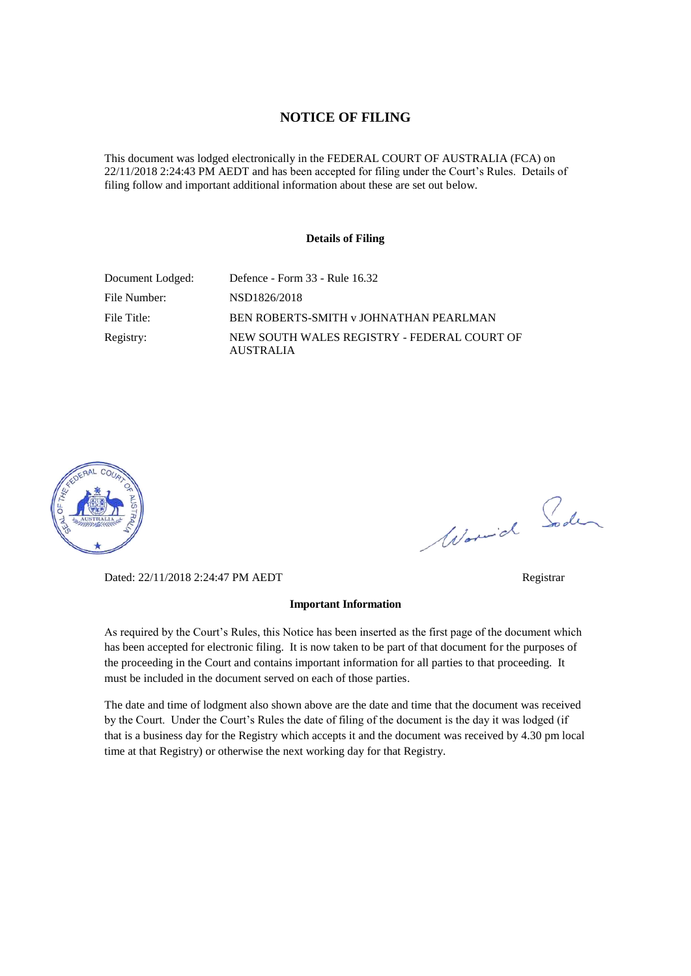#### **NOTICE OF FILING**

This document was lodged electronically in the FEDERAL COURT OF AUSTRALIA (FCA) on 22/11/2018 2:24:43 PM AEDT and has been accepted for filing under the Court's Rules. Details of filing follow and important additional information about these are set out below.

#### **Details of Filing**

| Document Lodged: | Defence - Form 33 - Rule 16.32                                  |
|------------------|-----------------------------------------------------------------|
| File Number:     | NSD1826/2018                                                    |
| File Title:      | BEN ROBERTS-SMITH v JOHNATHAN PEARLMAN                          |
| Registry:        | NEW SOUTH WALES REGISTRY - FEDERAL COURT OF<br><b>AUSTRALIA</b> |



Worwich Soden

Dated: 22/11/2018 2:24:47 PM AEDT Registrar

#### **Important Information**

As required by the Court's Rules, this Notice has been inserted as the first page of the document which has been accepted for electronic filing. It is now taken to be part of that document for the purposes of the proceeding in the Court and contains important information for all parties to that proceeding. It must be included in the document served on each of those parties.

The date and time of lodgment also shown above are the date and time that the document was received by the Court. Under the Court's Rules the date of filing of the document is the day it was lodged (if that is a business day for the Registry which accepts it and the document was received by 4.30 pm local time at that Registry) or otherwise the next working day for that Registry.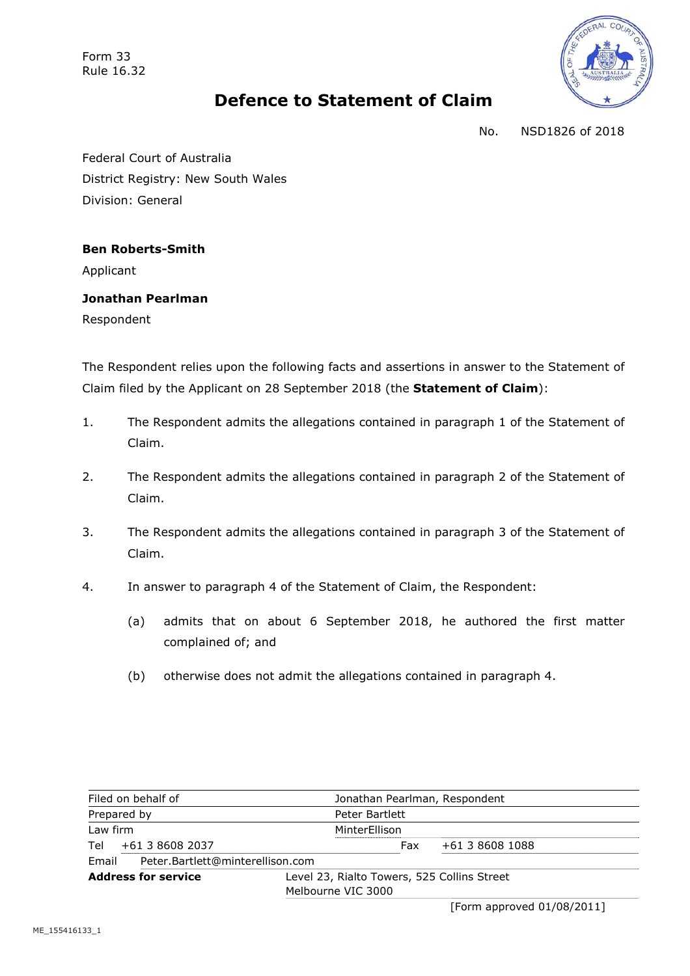Form 33 Rule 16.32



# **Defence to Statement of Claim**

No. NSD1826 of 2018

Federal Court of Australia District Registry: New South Wales Division: General

**Ben Roberts-Smith**

Applicant

**Jonathan Pearlman** Respondent

The Respondent relies upon the following facts and assertions in answer to the Statement of Claim filed by the Applicant on 28 September 2018 (the **Statement of Claim**):

- 1. The Respondent admits the allegations contained in paragraph 1 of the Statement of Claim.
- 2. The Respondent admits the allegations contained in paragraph 2 of the Statement of Claim.
- 3. The Respondent admits the allegations contained in paragraph 3 of the Statement of Claim.
- 4. In answer to paragraph 4 of the Statement of Claim, the Respondent:
	- (a) admits that on about 6 September 2018, he authored the first matter complained of; and
	- (b) otherwise does not admit the allegations contained in paragraph 4.

| Filed on behalf of                        | Jonathan Pearlman, Respondent                                     |                 |
|-------------------------------------------|-------------------------------------------------------------------|-----------------|
| Prepared by                               | Peter Bartlett                                                    |                 |
| Law firm                                  | MinterEllison                                                     |                 |
| +61 3 8608 2037<br>Tel                    | Fax                                                               | +61 3 8608 1088 |
| Peter.Bartlett@minterellison.com<br>Email |                                                                   |                 |
| <b>Address for service</b>                | Level 23, Rialto Towers, 525 Collins Street<br>Melbourne VIC 3000 |                 |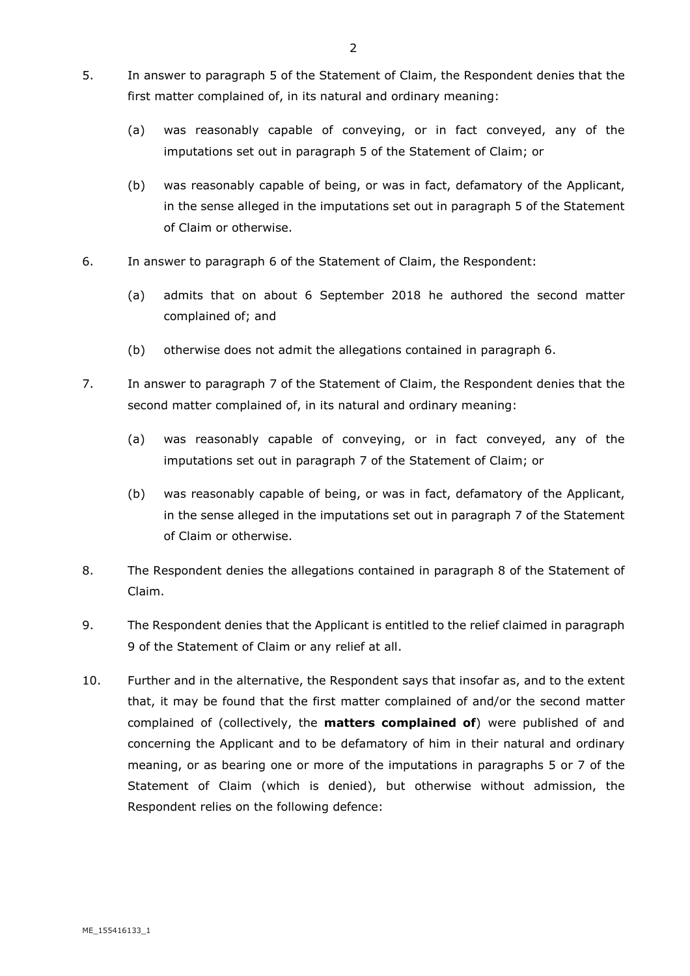- 5. In answer to paragraph 5 of the Statement of Claim, the Respondent denies that the first matter complained of, in its natural and ordinary meaning:
	- (a) was reasonably capable of conveying, or in fact conveyed, any of the imputations set out in paragraph 5 of the Statement of Claim; or
	- (b) was reasonably capable of being, or was in fact, defamatory of the Applicant, in the sense alleged in the imputations set out in paragraph 5 of the Statement of Claim or otherwise.
- 6. In answer to paragraph 6 of the Statement of Claim, the Respondent:
	- (a) admits that on about 6 September 2018 he authored the second matter complained of; and
	- (b) otherwise does not admit the allegations contained in paragraph 6.
- 7. In answer to paragraph 7 of the Statement of Claim, the Respondent denies that the second matter complained of, in its natural and ordinary meaning:
	- (a) was reasonably capable of conveying, or in fact conveyed, any of the imputations set out in paragraph 7 of the Statement of Claim; or
	- (b) was reasonably capable of being, or was in fact, defamatory of the Applicant, in the sense alleged in the imputations set out in paragraph 7 of the Statement of Claim or otherwise.
- 8. The Respondent denies the allegations contained in paragraph 8 of the Statement of Claim.
- 9. The Respondent denies that the Applicant is entitled to the relief claimed in paragraph 9 of the Statement of Claim or any relief at all.
- 10. Further and in the alternative, the Respondent says that insofar as, and to the extent that, it may be found that the first matter complained of and/or the second matter complained of (collectively, the **matters complained of**) were published of and concerning the Applicant and to be defamatory of him in their natural and ordinary meaning, or as bearing one or more of the imputations in paragraphs 5 or 7 of the Statement of Claim (which is denied), but otherwise without admission, the Respondent relies on the following defence: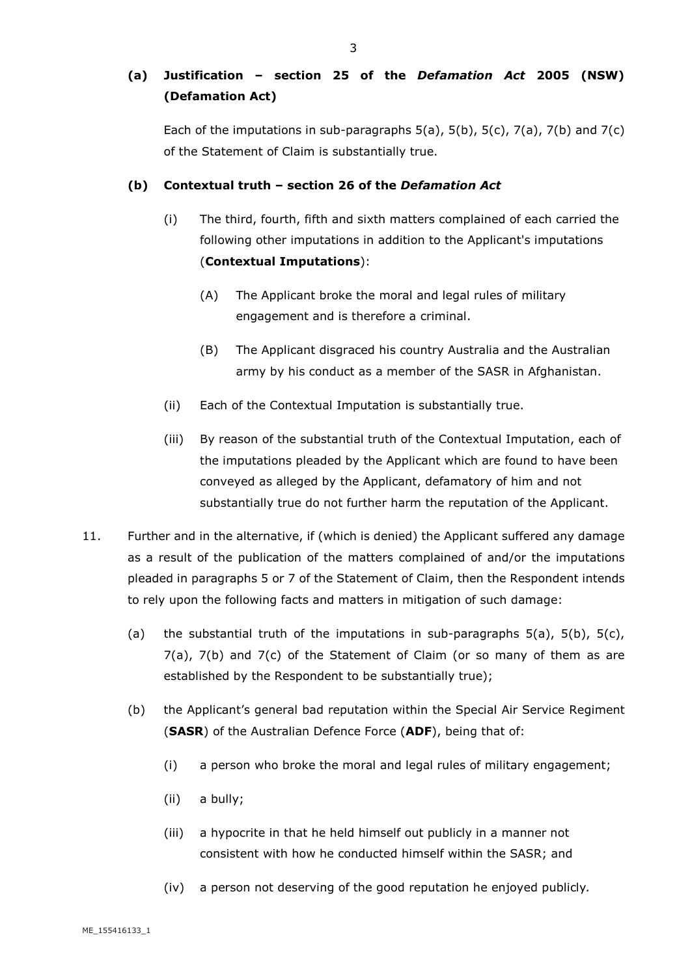# **(a) Justification – section 25 of the** *Defamation Act* **2005 (NSW) (Defamation Act)**

Each of the imputations in sub-paragraphs  $5(a)$ ,  $5(b)$ ,  $5(c)$ ,  $7(a)$ ,  $7(b)$  and  $7(c)$ of the Statement of Claim is substantially true.

### **(b) Contextual truth – section 26 of the** *Defamation Act*

- (i) The third, fourth, fifth and sixth matters complained of each carried the following other imputations in addition to the Applicant's imputations (**Contextual Imputations**):
	- (A) The Applicant broke the moral and legal rules of military engagement and is therefore a criminal.
	- (B) The Applicant disgraced his country Australia and the Australian army by his conduct as a member of the SASR in Afghanistan.
- (ii) Each of the Contextual Imputation is substantially true.
- (iii) By reason of the substantial truth of the Contextual Imputation, each of the imputations pleaded by the Applicant which are found to have been conveyed as alleged by the Applicant, defamatory of him and not substantially true do not further harm the reputation of the Applicant.
- 11. Further and in the alternative, if (which is denied) the Applicant suffered any damage as a result of the publication of the matters complained of and/or the imputations pleaded in paragraphs 5 or 7 of the Statement of Claim, then the Respondent intends to rely upon the following facts and matters in mitigation of such damage:
	- (a) the substantial truth of the imputations in sub-paragraphs  $5(a)$ ,  $5(b)$ ,  $5(c)$ , 7(a), 7(b) and 7(c) of the Statement of Claim (or so many of them as are established by the Respondent to be substantially true);
	- (b) the Applicant's general bad reputation within the Special Air Service Regiment (**SASR**) of the Australian Defence Force (**ADF**), being that of:
		- (i) a person who broke the moral and legal rules of military engagement;
		- (ii) a bully;
		- (iii) a hypocrite in that he held himself out publicly in a manner not consistent with how he conducted himself within the SASR; and
		- (iv) a person not deserving of the good reputation he enjoyed publicly*.*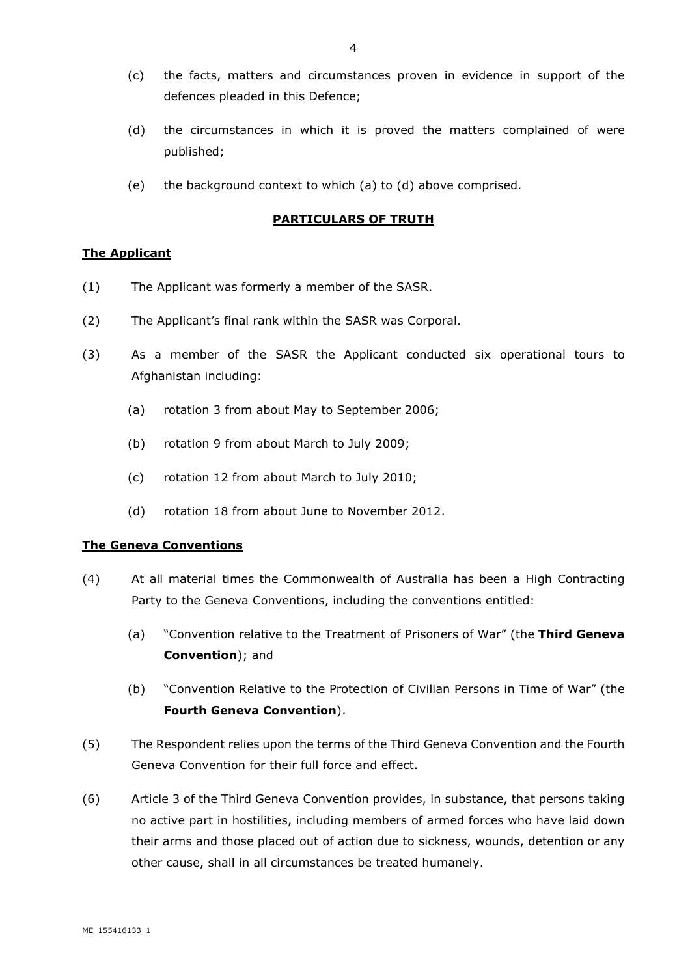- (c) the facts, matters and circumstances proven in evidence in support of the defences pleaded in this Defence;
- (d) the circumstances in which it is proved the matters complained of were published;
- (e) the background context to which (a) to (d) above comprised.

#### **PARTICULARS OF TRUTH**

#### **The Applicant**

- (1) The Applicant was formerly a member of the SASR.
- (2) The Applicant's final rank within the SASR was Corporal.
- (3) As a member of the SASR the Applicant conducted six operational tours to Afghanistan including:
	- (a) rotation 3 from about May to September 2006;
	- (b) rotation 9 from about March to July 2009;
	- (c) rotation 12 from about March to July 2010;
	- (d) rotation 18 from about June to November 2012.

#### **The Geneva Conventions**

- (4) At all material times the Commonwealth of Australia has been a High Contracting Party to the Geneva Conventions, including the conventions entitled:
	- (a) "Convention relative to the Treatment of Prisoners of War" (the **Third Geneva Convention**); and
	- (b) "Convention Relative to the Protection of Civilian Persons in Time of War" (the **Fourth Geneva Convention**).
- (5) The Respondent relies upon the terms of the Third Geneva Convention and the Fourth Geneva Convention for their full force and effect.
- (6) Article 3 of the Third Geneva Convention provides, in substance, that persons taking no active part in hostilities, including members of armed forces who have laid down their arms and those placed out of action due to sickness, wounds, detention or any other cause, shall in all circumstances be treated humanely.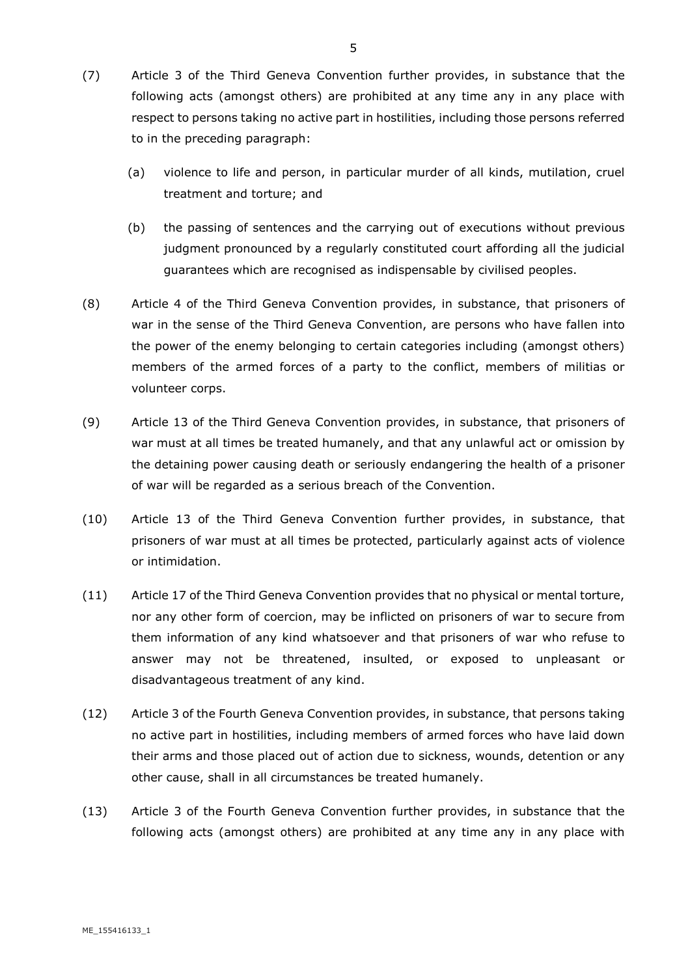- (7) Article 3 of the Third Geneva Convention further provides, in substance that the following acts (amongst others) are prohibited at any time any in any place with respect to persons taking no active part in hostilities, including those persons referred to in the preceding paragraph:
	- (a) violence to life and person, in particular murder of all kinds, mutilation, cruel treatment and torture; and
	- (b) the passing of sentences and the carrying out of executions without previous judgment pronounced by a regularly constituted court affording all the judicial guarantees which are recognised as indispensable by civilised peoples.
- (8) Article 4 of the Third Geneva Convention provides, in substance, that prisoners of war in the sense of the Third Geneva Convention, are persons who have fallen into the power of the enemy belonging to certain categories including (amongst others) members of the armed forces of a party to the conflict, members of militias or volunteer corps.
- (9) Article 13 of the Third Geneva Convention provides, in substance, that prisoners of war must at all times be treated humanely, and that any unlawful act or omission by the detaining power causing death or seriously endangering the health of a prisoner of war will be regarded as a serious breach of the Convention.
- (10) Article 13 of the Third Geneva Convention further provides, in substance, that prisoners of war must at all times be protected, particularly against acts of violence or intimidation.
- (11) Article 17 of the Third Geneva Convention provides that no physical or mental torture, nor any other form of coercion, may be inflicted on prisoners of war to secure from them information of any kind whatsoever and that prisoners of war who refuse to answer may not be threatened, insulted, or exposed to unpleasant or disadvantageous treatment of any kind.
- (12) Article 3 of the Fourth Geneva Convention provides, in substance, that persons taking no active part in hostilities, including members of armed forces who have laid down their arms and those placed out of action due to sickness, wounds, detention or any other cause, shall in all circumstances be treated humanely.
- (13) Article 3 of the Fourth Geneva Convention further provides, in substance that the following acts (amongst others) are prohibited at any time any in any place with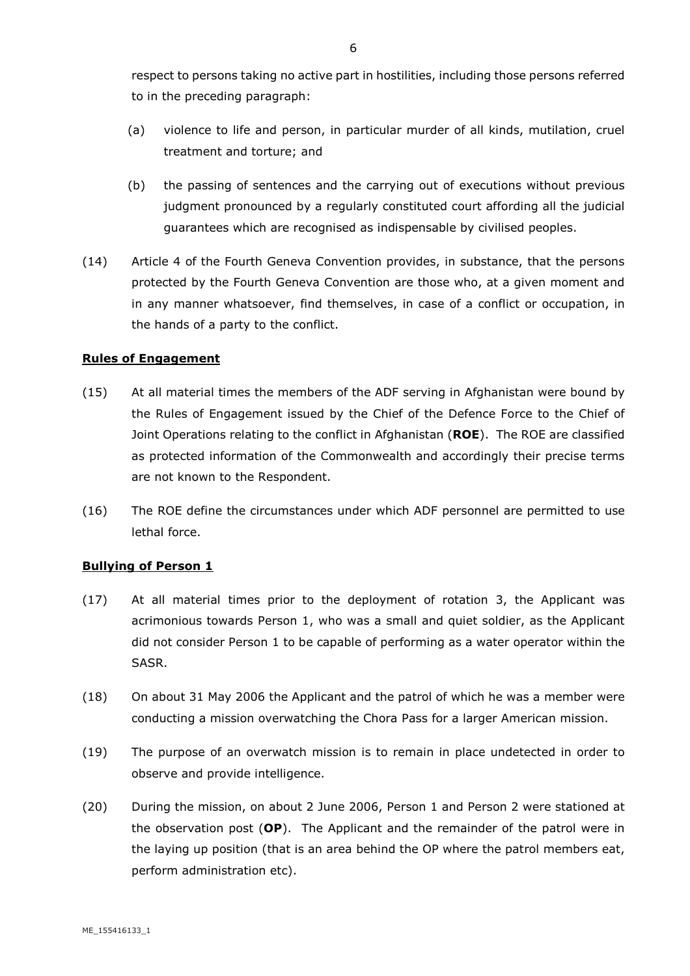respect to persons taking no active part in hostilities, including those persons referred to in the preceding paragraph:

- (a) violence to life and person, in particular murder of all kinds, mutilation, cruel treatment and torture; and
- (b) the passing of sentences and the carrying out of executions without previous judgment pronounced by a regularly constituted court affording all the judicial guarantees which are recognised as indispensable by civilised peoples.
- (14) Article 4 of the Fourth Geneva Convention provides, in substance, that the persons protected by the Fourth Geneva Convention are those who, at a given moment and in any manner whatsoever, find themselves, in case of a conflict or occupation, in the hands of a party to the conflict.

#### **Rules of Engagement**

- (15) At all material times the members of the ADF serving in Afghanistan were bound by the Rules of Engagement issued by the Chief of the Defence Force to the Chief of Joint Operations relating to the conflict in Afghanistan (**ROE**). The ROE are classified as protected information of the Commonwealth and accordingly their precise terms are not known to the Respondent.
- (16) The ROE define the circumstances under which ADF personnel are permitted to use lethal force.

### **Bullying of Person 1**

- (17) At all material times prior to the deployment of rotation 3, the Applicant was acrimonious towards Person 1, who was a small and quiet soldier, as the Applicant did not consider Person 1 to be capable of performing as a water operator within the SASR.
- (18) On about 31 May 2006 the Applicant and the patrol of which he was a member were conducting a mission overwatching the Chora Pass for a larger American mission.
- (19) The purpose of an overwatch mission is to remain in place undetected in order to observe and provide intelligence.
- (20) During the mission, on about 2 June 2006, Person 1 and Person 2 were stationed at the observation post (**OP**). The Applicant and the remainder of the patrol were in the laying up position (that is an area behind the OP where the patrol members eat, perform administration etc).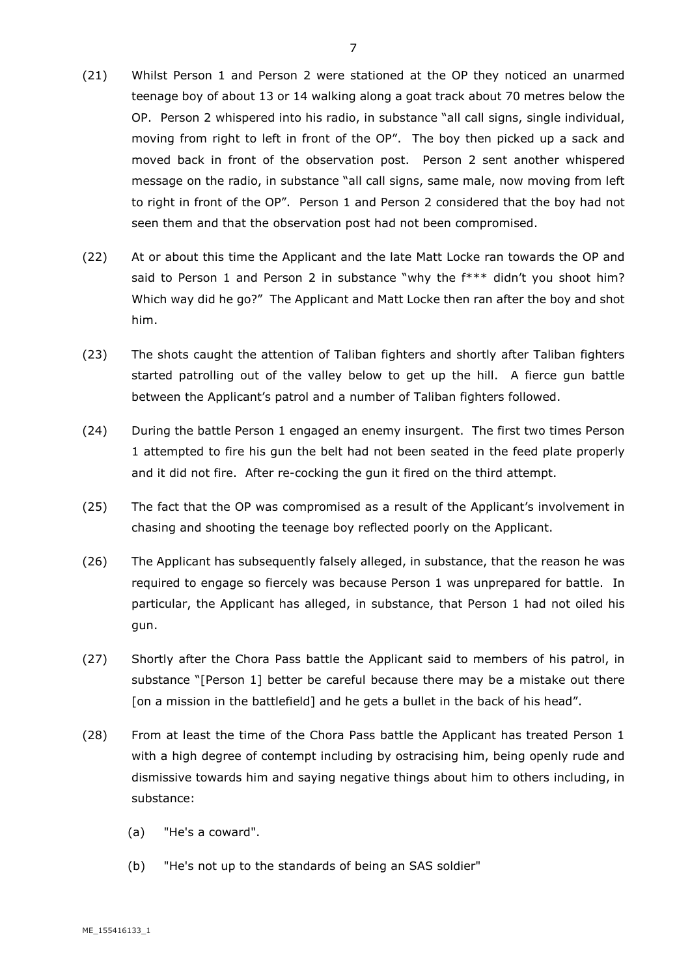- (21) Whilst Person 1 and Person 2 were stationed at the OP they noticed an unarmed teenage boy of about 13 or 14 walking along a goat track about 70 metres below the OP. Person 2 whispered into his radio, in substance "all call signs, single individual, moving from right to left in front of the OP". The boy then picked up a sack and moved back in front of the observation post. Person 2 sent another whispered message on the radio, in substance "all call signs, same male, now moving from left to right in front of the OP". Person 1 and Person 2 considered that the boy had not seen them and that the observation post had not been compromised.
- (22) At or about this time the Applicant and the late Matt Locke ran towards the OP and said to Person 1 and Person 2 in substance "why the f\*\*\* didn't you shoot him? Which way did he go?" The Applicant and Matt Locke then ran after the boy and shot him.
- (23) The shots caught the attention of Taliban fighters and shortly after Taliban fighters started patrolling out of the valley below to get up the hill. A fierce gun battle between the Applicant's patrol and a number of Taliban fighters followed.
- (24) During the battle Person 1 engaged an enemy insurgent. The first two times Person 1 attempted to fire his gun the belt had not been seated in the feed plate properly and it did not fire. After re-cocking the gun it fired on the third attempt.
- (25) The fact that the OP was compromised as a result of the Applicant's involvement in chasing and shooting the teenage boy reflected poorly on the Applicant.
- (26) The Applicant has subsequently falsely alleged, in substance, that the reason he was required to engage so fiercely was because Person 1 was unprepared for battle. In particular, the Applicant has alleged, in substance, that Person 1 had not oiled his gun.
- (27) Shortly after the Chora Pass battle the Applicant said to members of his patrol, in substance "[Person 1] better be careful because there may be a mistake out there [on a mission in the battlefield] and he gets a bullet in the back of his head".
- (28) From at least the time of the Chora Pass battle the Applicant has treated Person 1 with a high degree of contempt including by ostracising him, being openly rude and dismissive towards him and saying negative things about him to others including, in substance:
	- (a) "He's a coward".
	- (b) "He's not up to the standards of being an SAS soldier"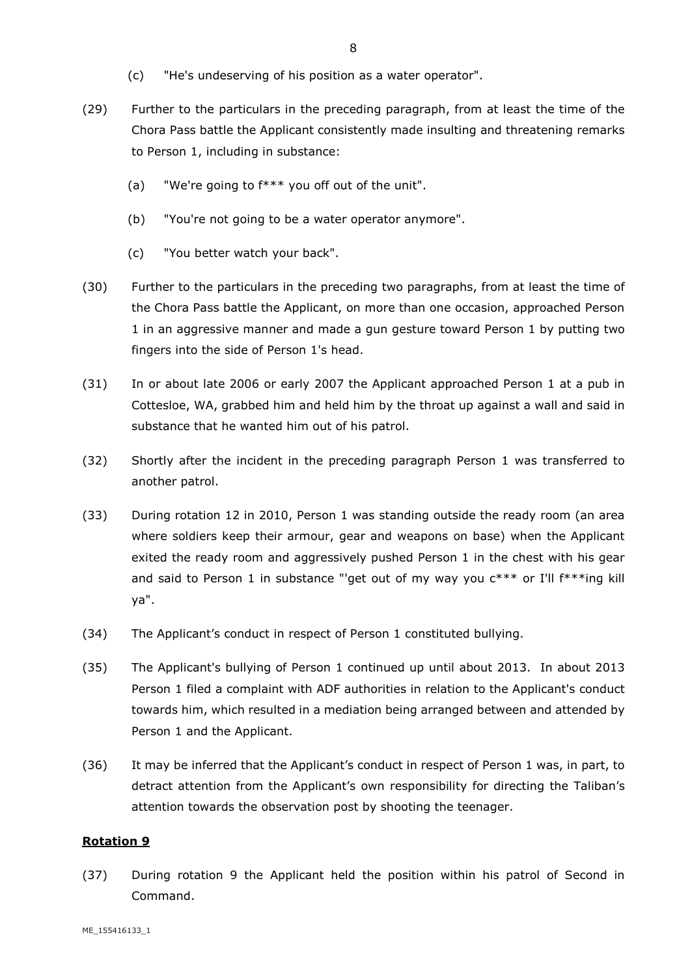- (c) "He's undeserving of his position as a water operator".
- (29) Further to the particulars in the preceding paragraph, from at least the time of the Chora Pass battle the Applicant consistently made insulting and threatening remarks to Person 1, including in substance:
	- (a) "We're going to f\*\*\* you off out of the unit".
	- (b) "You're not going to be a water operator anymore".
	- (c) "You better watch your back".
- (30) Further to the particulars in the preceding two paragraphs, from at least the time of the Chora Pass battle the Applicant, on more than one occasion, approached Person 1 in an aggressive manner and made a gun gesture toward Person 1 by putting two fingers into the side of Person 1's head.
- (31) In or about late 2006 or early 2007 the Applicant approached Person 1 at a pub in Cottesloe, WA, grabbed him and held him by the throat up against a wall and said in substance that he wanted him out of his patrol.
- (32) Shortly after the incident in the preceding paragraph Person 1 was transferred to another patrol.
- (33) During rotation 12 in 2010, Person 1 was standing outside the ready room (an area where soldiers keep their armour, gear and weapons on base) when the Applicant exited the ready room and aggressively pushed Person 1 in the chest with his gear and said to Person 1 in substance "'get out of my way you  $c***$  or I'll  $f***$ ing kill ya".
- (34) The Applicant's conduct in respect of Person 1 constituted bullying.
- (35) The Applicant's bullying of Person 1 continued up until about 2013. In about 2013 Person 1 filed a complaint with ADF authorities in relation to the Applicant's conduct towards him, which resulted in a mediation being arranged between and attended by Person 1 and the Applicant.
- (36) It may be inferred that the Applicant's conduct in respect of Person 1 was, in part, to detract attention from the Applicant's own responsibility for directing the Taliban's attention towards the observation post by shooting the teenager.

#### **Rotation 9**

(37) During rotation 9 the Applicant held the position within his patrol of Second in Command.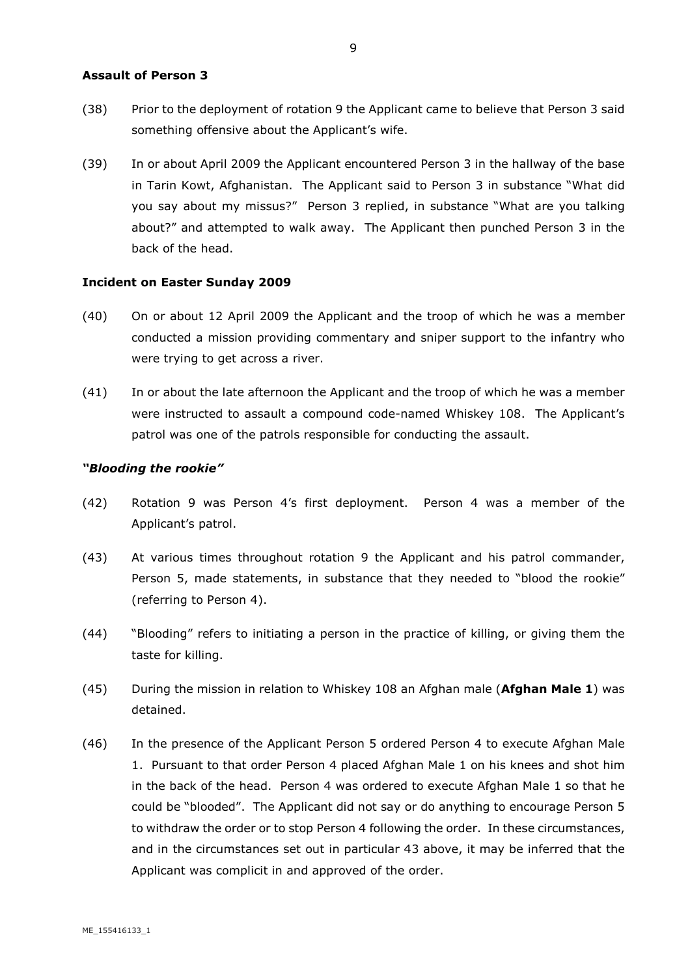#### **Assault of Person 3**

- (38) Prior to the deployment of rotation 9 the Applicant came to believe that Person 3 said something offensive about the Applicant's wife.
- (39) In or about April 2009 the Applicant encountered Person 3 in the hallway of the base in Tarin Kowt, Afghanistan. The Applicant said to Person 3 in substance "What did you say about my missus?" Person 3 replied, in substance "What are you talking about?" and attempted to walk away. The Applicant then punched Person 3 in the back of the head.

#### **Incident on Easter Sunday 2009**

- (40) On or about 12 April 2009 the Applicant and the troop of which he was a member conducted a mission providing commentary and sniper support to the infantry who were trying to get across a river.
- (41) In or about the late afternoon the Applicant and the troop of which he was a member were instructed to assault a compound code-named Whiskey 108. The Applicant's patrol was one of the patrols responsible for conducting the assault.

#### *"Blooding the rookie"*

- (42) Rotation 9 was Person 4's first deployment. Person 4 was a member of the Applicant's patrol.
- (43) At various times throughout rotation 9 the Applicant and his patrol commander, Person 5, made statements, in substance that they needed to "blood the rookie" (referring to Person 4).
- (44) "Blooding" refers to initiating a person in the practice of killing, or giving them the taste for killing.
- (45) During the mission in relation to Whiskey 108 an Afghan male (**Afghan Male 1**) was detained.
- (46) In the presence of the Applicant Person 5 ordered Person 4 to execute Afghan Male 1. Pursuant to that order Person 4 placed Afghan Male 1 on his knees and shot him in the back of the head. Person 4 was ordered to execute Afghan Male 1 so that he could be "blooded". The Applicant did not say or do anything to encourage Person 5 to withdraw the order or to stop Person 4 following the order. In these circumstances, and in the circumstances set out in particular 43 above, it may be inferred that the Applicant was complicit in and approved of the order.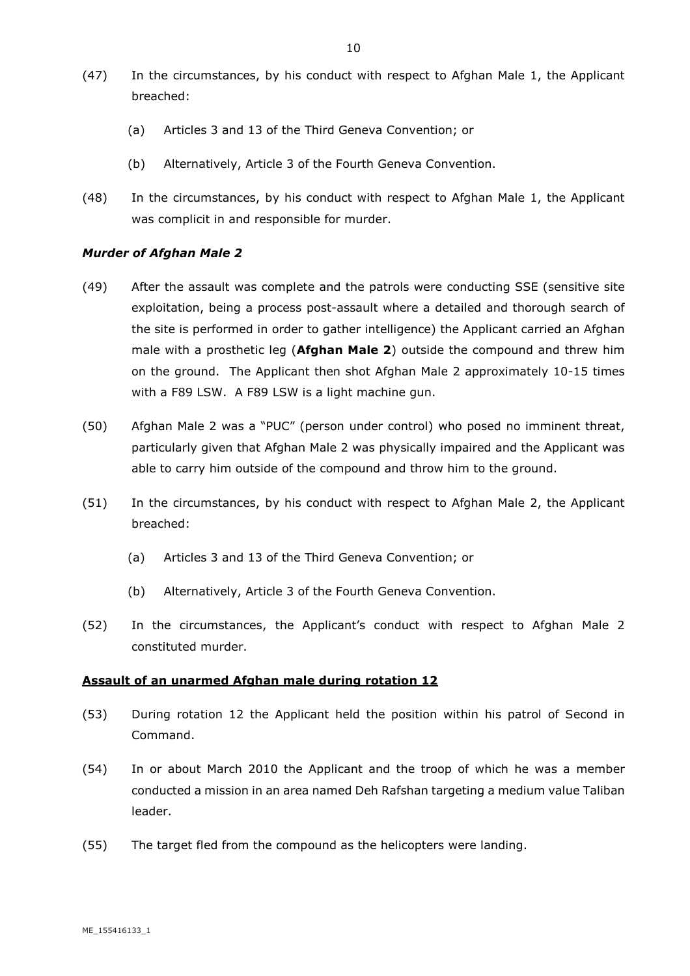- (47) In the circumstances, by his conduct with respect to Afghan Male 1, the Applicant breached:
	- (a) Articles 3 and 13 of the Third Geneva Convention; or
	- (b) Alternatively, Article 3 of the Fourth Geneva Convention.
- (48) In the circumstances, by his conduct with respect to Afghan Male 1, the Applicant was complicit in and responsible for murder.

#### *Murder of Afghan Male 2*

- (49) After the assault was complete and the patrols were conducting SSE (sensitive site exploitation, being a process post-assault where a detailed and thorough search of the site is performed in order to gather intelligence) the Applicant carried an Afghan male with a prosthetic leg (**Afghan Male 2**) outside the compound and threw him on the ground. The Applicant then shot Afghan Male 2 approximately 10-15 times with a F89 LSW. A F89 LSW is a light machine gun.
- (50) Afghan Male 2 was a "PUC" (person under control) who posed no imminent threat, particularly given that Afghan Male 2 was physically impaired and the Applicant was able to carry him outside of the compound and throw him to the ground.
- (51) In the circumstances, by his conduct with respect to Afghan Male 2, the Applicant breached:
	- (a) Articles 3 and 13 of the Third Geneva Convention; or
	- (b) Alternatively, Article 3 of the Fourth Geneva Convention.
- (52) In the circumstances, the Applicant's conduct with respect to Afghan Male 2 constituted murder.

#### **Assault of an unarmed Afghan male during rotation 12**

- (53) During rotation 12 the Applicant held the position within his patrol of Second in Command.
- (54) In or about March 2010 the Applicant and the troop of which he was a member conducted a mission in an area named Deh Rafshan targeting a medium value Taliban leader.
- (55) The target fled from the compound as the helicopters were landing.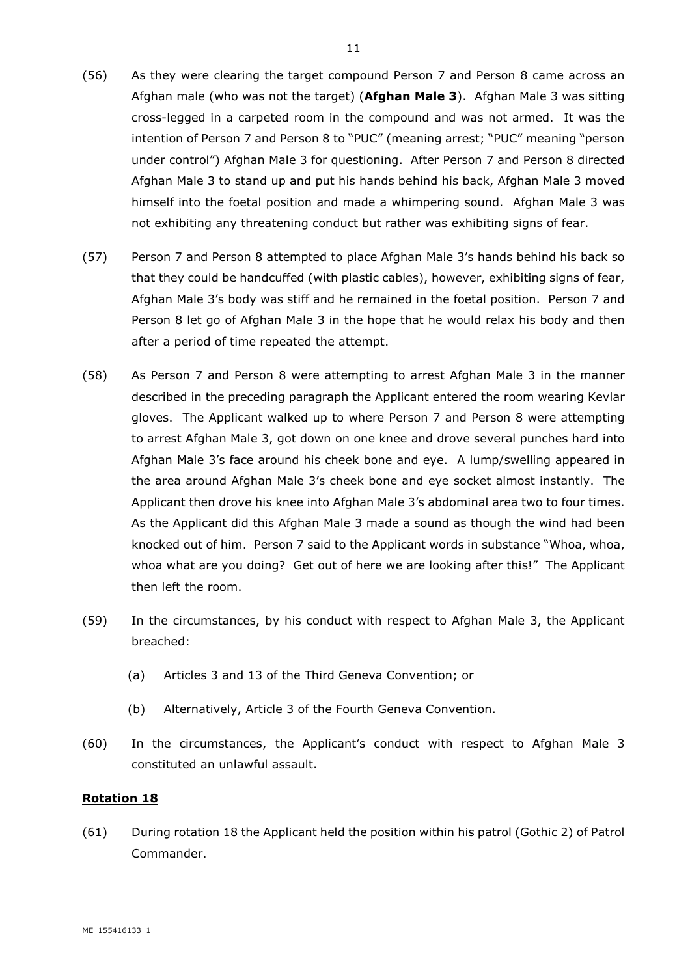- (56) As they were clearing the target compound Person 7 and Person 8 came across an Afghan male (who was not the target) (**Afghan Male 3**). Afghan Male 3 was sitting cross-legged in a carpeted room in the compound and was not armed. It was the intention of Person 7 and Person 8 to "PUC" (meaning arrest; "PUC" meaning "person under control") Afghan Male 3 for questioning. After Person 7 and Person 8 directed Afghan Male 3 to stand up and put his hands behind his back, Afghan Male 3 moved himself into the foetal position and made a whimpering sound. Afghan Male 3 was not exhibiting any threatening conduct but rather was exhibiting signs of fear.
- (57) Person 7 and Person 8 attempted to place Afghan Male 3's hands behind his back so that they could be handcuffed (with plastic cables), however, exhibiting signs of fear, Afghan Male 3's body was stiff and he remained in the foetal position. Person 7 and Person 8 let go of Afghan Male 3 in the hope that he would relax his body and then after a period of time repeated the attempt.
- (58) As Person 7 and Person 8 were attempting to arrest Afghan Male 3 in the manner described in the preceding paragraph the Applicant entered the room wearing Kevlar gloves. The Applicant walked up to where Person 7 and Person 8 were attempting to arrest Afghan Male 3, got down on one knee and drove several punches hard into Afghan Male 3's face around his cheek bone and eye. A lump/swelling appeared in the area around Afghan Male 3's cheek bone and eye socket almost instantly. The Applicant then drove his knee into Afghan Male 3's abdominal area two to four times. As the Applicant did this Afghan Male 3 made a sound as though the wind had been knocked out of him. Person 7 said to the Applicant words in substance "Whoa, whoa, whoa what are you doing? Get out of here we are looking after this!" The Applicant then left the room.
- (59) In the circumstances, by his conduct with respect to Afghan Male 3, the Applicant breached:
	- (a) Articles 3 and 13 of the Third Geneva Convention; or
	- (b) Alternatively, Article 3 of the Fourth Geneva Convention.
- (60) In the circumstances, the Applicant's conduct with respect to Afghan Male 3 constituted an unlawful assault.

#### **Rotation 18**

(61) During rotation 18 the Applicant held the position within his patrol (Gothic 2) of Patrol Commander.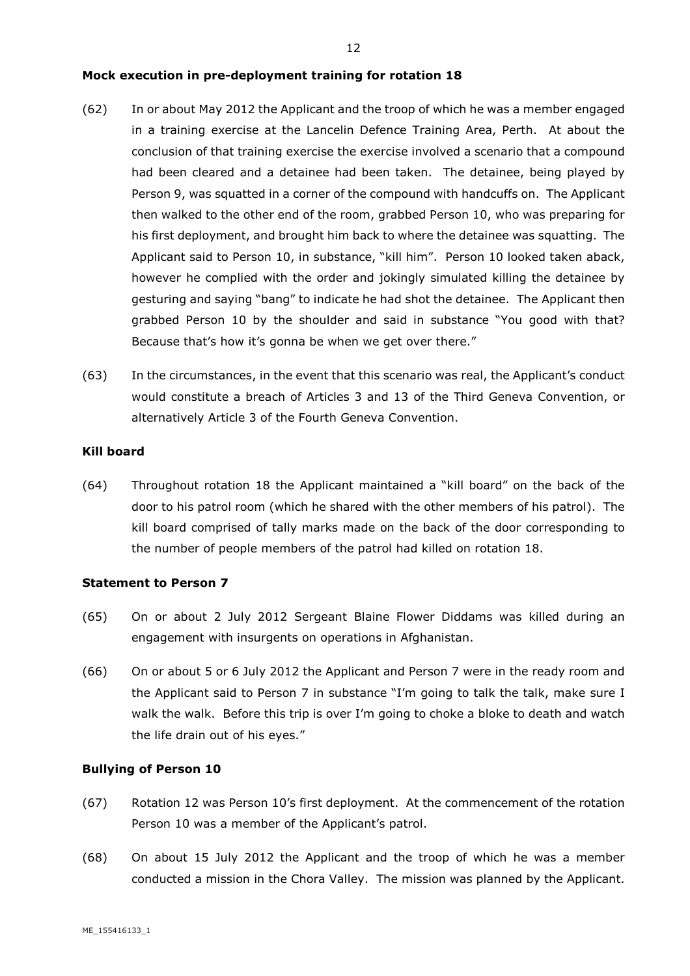#### **Mock execution in pre-deployment training for rotation 18**

- (62) In or about May 2012 the Applicant and the troop of which he was a member engaged in a training exercise at the Lancelin Defence Training Area, Perth. At about the conclusion of that training exercise the exercise involved a scenario that a compound had been cleared and a detainee had been taken. The detainee, being played by Person 9, was squatted in a corner of the compound with handcuffs on. The Applicant then walked to the other end of the room, grabbed Person 10, who was preparing for his first deployment, and brought him back to where the detainee was squatting. The Applicant said to Person 10, in substance, "kill him". Person 10 looked taken aback, however he complied with the order and jokingly simulated killing the detainee by gesturing and saying "bang" to indicate he had shot the detainee. The Applicant then grabbed Person 10 by the shoulder and said in substance "You good with that? Because that's how it's gonna be when we get over there."
- (63) In the circumstances, in the event that this scenario was real, the Applicant's conduct would constitute a breach of Articles 3 and 13 of the Third Geneva Convention, or alternatively Article 3 of the Fourth Geneva Convention.

#### **Kill board**

(64) Throughout rotation 18 the Applicant maintained a "kill board" on the back of the door to his patrol room (which he shared with the other members of his patrol). The kill board comprised of tally marks made on the back of the door corresponding to the number of people members of the patrol had killed on rotation 18.

#### **Statement to Person 7**

- (65) On or about 2 July 2012 Sergeant Blaine Flower Diddams was killed during an engagement with insurgents on operations in Afghanistan.
- (66) On or about 5 or 6 July 2012 the Applicant and Person 7 were in the ready room and the Applicant said to Person 7 in substance "I'm going to talk the talk, make sure I walk the walk. Before this trip is over I'm going to choke a bloke to death and watch the life drain out of his eyes."

#### **Bullying of Person 10**

- (67) Rotation 12 was Person 10's first deployment. At the commencement of the rotation Person 10 was a member of the Applicant's patrol.
- (68) On about 15 July 2012 the Applicant and the troop of which he was a member conducted a mission in the Chora Valley. The mission was planned by the Applicant.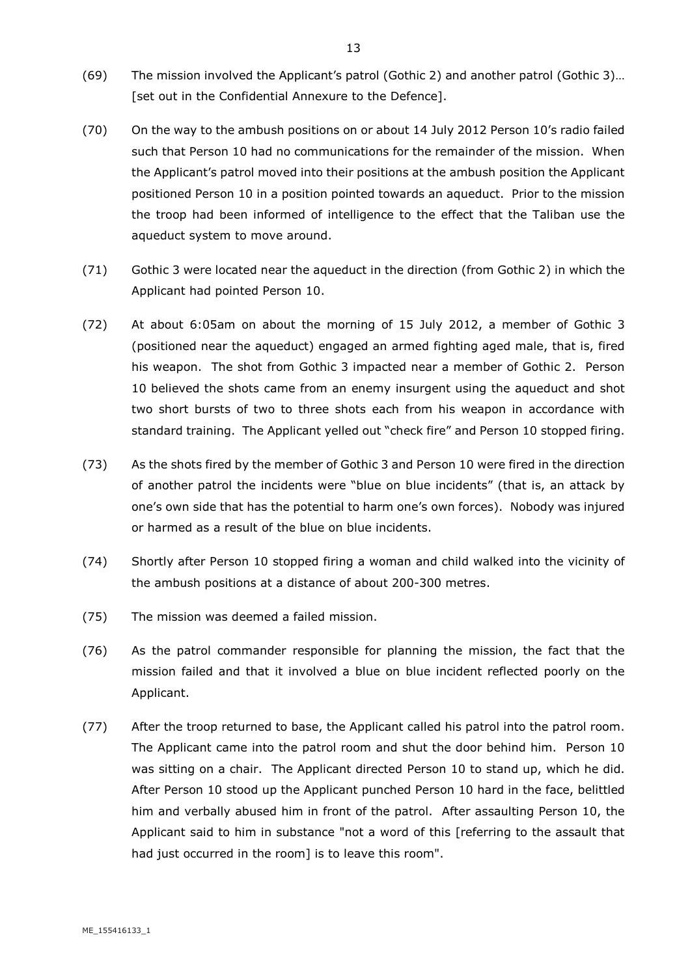- (69) The mission involved the Applicant's patrol (Gothic 2) and another patrol (Gothic 3)… [set out in the Confidential Annexure to the Defence].
- (70) On the way to the ambush positions on or about 14 July 2012 Person 10's radio failed such that Person 10 had no communications for the remainder of the mission. When the Applicant's patrol moved into their positions at the ambush position the Applicant positioned Person 10 in a position pointed towards an aqueduct. Prior to the mission the troop had been informed of intelligence to the effect that the Taliban use the aqueduct system to move around.
- (71) Gothic 3 were located near the aqueduct in the direction (from Gothic 2) in which the Applicant had pointed Person 10.
- (72) At about 6:05am on about the morning of 15 July 2012, a member of Gothic 3 (positioned near the aqueduct) engaged an armed fighting aged male, that is, fired his weapon. The shot from Gothic 3 impacted near a member of Gothic 2. Person 10 believed the shots came from an enemy insurgent using the aqueduct and shot two short bursts of two to three shots each from his weapon in accordance with standard training. The Applicant yelled out "check fire" and Person 10 stopped firing.
- (73) As the shots fired by the member of Gothic 3 and Person 10 were fired in the direction of another patrol the incidents were "blue on blue incidents" (that is, an attack by one's own side that has the potential to harm one's own forces). Nobody was injured or harmed as a result of the blue on blue incidents.
- (74) Shortly after Person 10 stopped firing a woman and child walked into the vicinity of the ambush positions at a distance of about 200-300 metres.
- (75) The mission was deemed a failed mission.
- (76) As the patrol commander responsible for planning the mission, the fact that the mission failed and that it involved a blue on blue incident reflected poorly on the Applicant.
- (77) After the troop returned to base, the Applicant called his patrol into the patrol room. The Applicant came into the patrol room and shut the door behind him. Person 10 was sitting on a chair. The Applicant directed Person 10 to stand up, which he did. After Person 10 stood up the Applicant punched Person 10 hard in the face, belittled him and verbally abused him in front of the patrol. After assaulting Person 10, the Applicant said to him in substance "not a word of this [referring to the assault that had just occurred in the room] is to leave this room".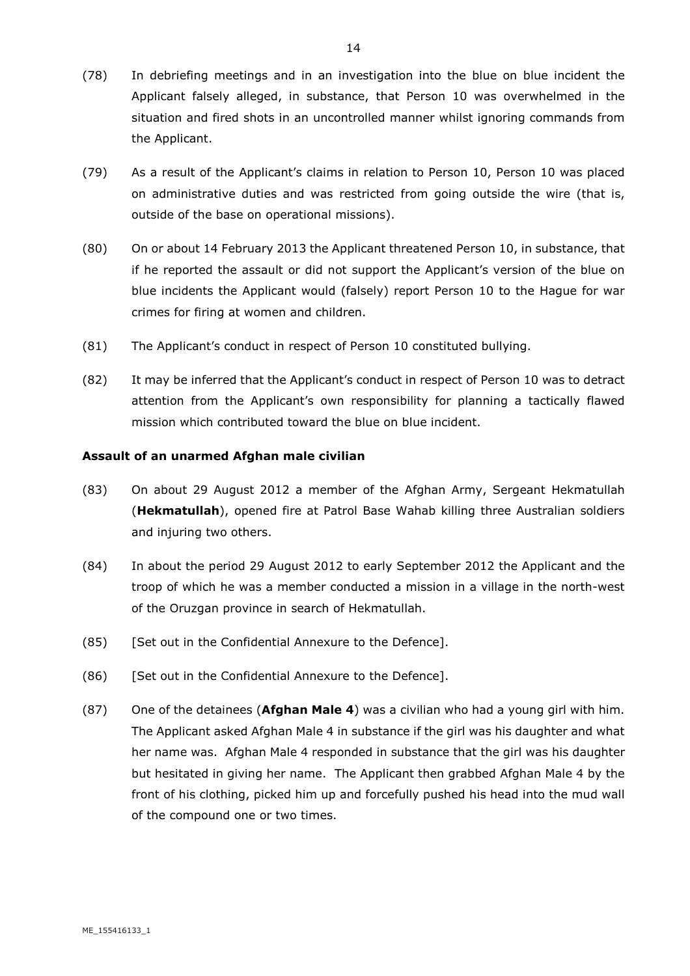- (78) In debriefing meetings and in an investigation into the blue on blue incident the Applicant falsely alleged, in substance, that Person 10 was overwhelmed in the situation and fired shots in an uncontrolled manner whilst ignoring commands from the Applicant.
- (79) As a result of the Applicant's claims in relation to Person 10, Person 10 was placed on administrative duties and was restricted from going outside the wire (that is, outside of the base on operational missions).
- (80) On or about 14 February 2013 the Applicant threatened Person 10, in substance, that if he reported the assault or did not support the Applicant's version of the blue on blue incidents the Applicant would (falsely) report Person 10 to the Hague for war crimes for firing at women and children.
- (81) The Applicant's conduct in respect of Person 10 constituted bullying.
- (82) It may be inferred that the Applicant's conduct in respect of Person 10 was to detract attention from the Applicant's own responsibility for planning a tactically flawed mission which contributed toward the blue on blue incident.

#### **Assault of an unarmed Afghan male civilian**

- (83) On about 29 August 2012 a member of the Afghan Army, Sergeant Hekmatullah (**Hekmatullah**), opened fire at Patrol Base Wahab killing three Australian soldiers and injuring two others.
- (84) In about the period 29 August 2012 to early September 2012 the Applicant and the troop of which he was a member conducted a mission in a village in the north-west of the Oruzgan province in search of Hekmatullah.
- (85) [Set out in the Confidential Annexure to the Defence].
- (86) [Set out in the Confidential Annexure to the Defence].
- (87) One of the detainees (**Afghan Male 4**) was a civilian who had a young girl with him. The Applicant asked Afghan Male 4 in substance if the girl was his daughter and what her name was. Afghan Male 4 responded in substance that the girl was his daughter but hesitated in giving her name. The Applicant then grabbed Afghan Male 4 by the front of his clothing, picked him up and forcefully pushed his head into the mud wall of the compound one or two times.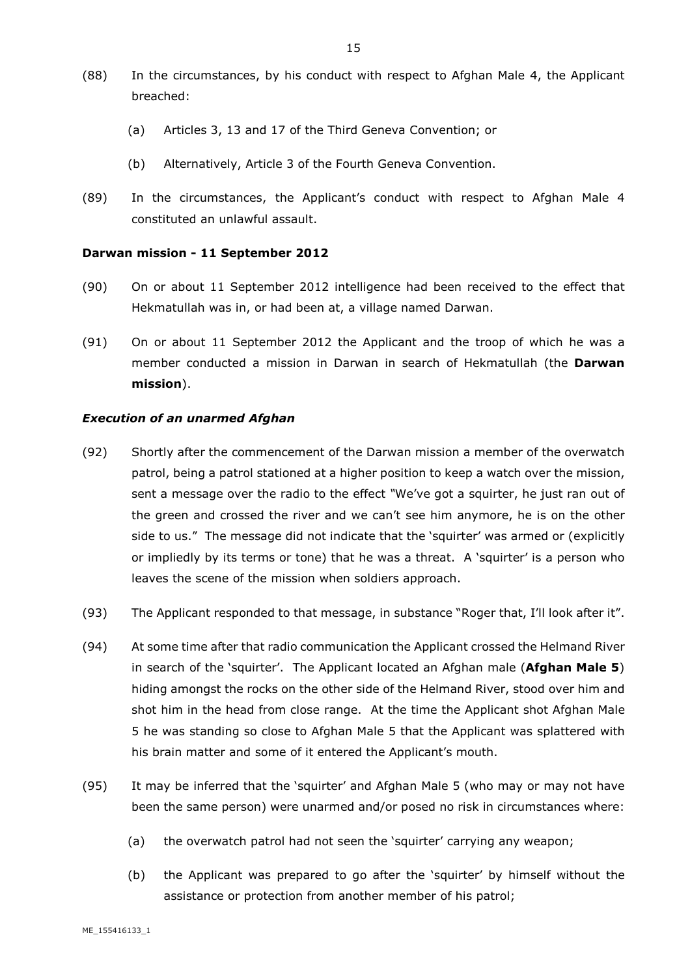- (88) In the circumstances, by his conduct with respect to Afghan Male 4, the Applicant breached:
	- (a) Articles 3, 13 and 17 of the Third Geneva Convention; or
	- (b) Alternatively, Article 3 of the Fourth Geneva Convention.
- (89) In the circumstances, the Applicant's conduct with respect to Afghan Male 4 constituted an unlawful assault.

#### **Darwan mission - 11 September 2012**

- (90) On or about 11 September 2012 intelligence had been received to the effect that Hekmatullah was in, or had been at, a village named Darwan.
- (91) On or about 11 September 2012 the Applicant and the troop of which he was a member conducted a mission in Darwan in search of Hekmatullah (the **Darwan mission**).

#### *Execution of an unarmed Afghan*

- (92) Shortly after the commencement of the Darwan mission a member of the overwatch patrol, being a patrol stationed at a higher position to keep a watch over the mission, sent a message over the radio to the effect *"*We've got a squirter, he just ran out of the green and crossed the river and we can't see him anymore, he is on the other side to us." The message did not indicate that the 'squirter' was armed or (explicitly or impliedly by its terms or tone) that he was a threat. A 'squirter' is a person who leaves the scene of the mission when soldiers approach.
- (93) The Applicant responded to that message, in substance "Roger that, I'll look after it".
- (94) At some time after that radio communication the Applicant crossed the Helmand River in search of the 'squirter'. The Applicant located an Afghan male (**Afghan Male 5**) hiding amongst the rocks on the other side of the Helmand River, stood over him and shot him in the head from close range. At the time the Applicant shot Afghan Male 5 he was standing so close to Afghan Male 5 that the Applicant was splattered with his brain matter and some of it entered the Applicant's mouth.
- (95) It may be inferred that the 'squirter' and Afghan Male 5 (who may or may not have been the same person) were unarmed and/or posed no risk in circumstances where:
	- (a) the overwatch patrol had not seen the 'squirter' carrying any weapon;
	- (b) the Applicant was prepared to go after the 'squirter' by himself without the assistance or protection from another member of his patrol;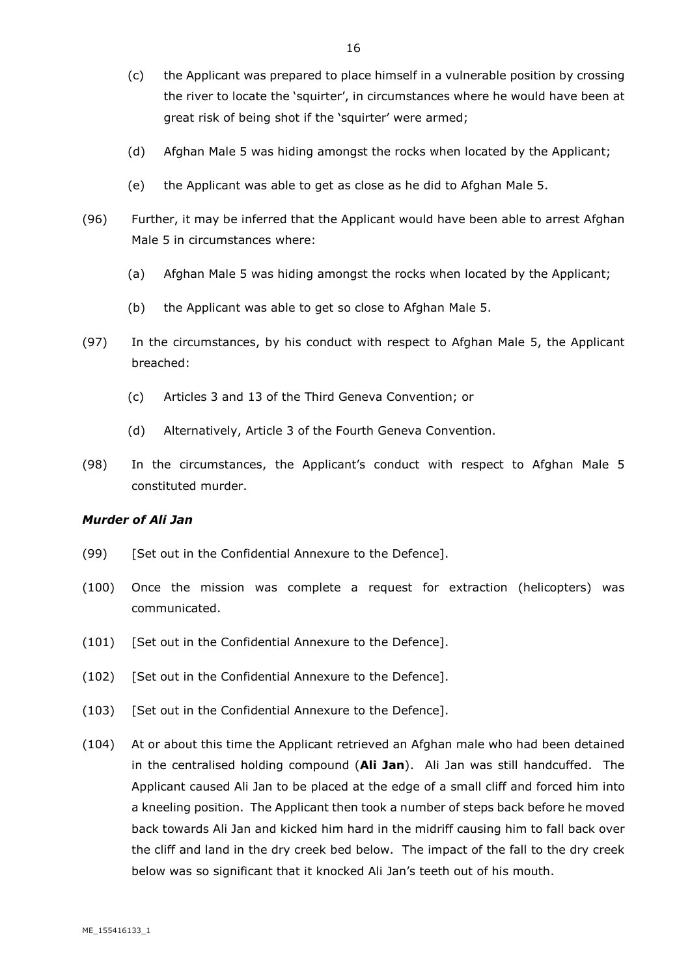- (c) the Applicant was prepared to place himself in a vulnerable position by crossing the river to locate the 'squirter', in circumstances where he would have been at great risk of being shot if the 'squirter' were armed;
- (d) Afghan Male 5 was hiding amongst the rocks when located by the Applicant;
- (e) the Applicant was able to get as close as he did to Afghan Male 5.
- (96) Further, it may be inferred that the Applicant would have been able to arrest Afghan Male 5 in circumstances where:
	- (a) Afghan Male 5 was hiding amongst the rocks when located by the Applicant;
	- (b) the Applicant was able to get so close to Afghan Male 5.
- (97) In the circumstances, by his conduct with respect to Afghan Male 5, the Applicant breached:
	- (c) Articles 3 and 13 of the Third Geneva Convention; or
	- (d) Alternatively, Article 3 of the Fourth Geneva Convention.
- (98) In the circumstances, the Applicant's conduct with respect to Afghan Male 5 constituted murder.

#### *Murder of Ali Jan*

- (99) [Set out in the Confidential Annexure to the Defence].
- (100) Once the mission was complete a request for extraction (helicopters) was communicated.
- (101) [Set out in the Confidential Annexure to the Defence].
- (102) [Set out in the Confidential Annexure to the Defence].
- (103) [Set out in the Confidential Annexure to the Defence].
- (104) At or about this time the Applicant retrieved an Afghan male who had been detained in the centralised holding compound (**Ali Jan**). Ali Jan was still handcuffed. The Applicant caused Ali Jan to be placed at the edge of a small cliff and forced him into a kneeling position. The Applicant then took a number of steps back before he moved back towards Ali Jan and kicked him hard in the midriff causing him to fall back over the cliff and land in the dry creek bed below. The impact of the fall to the dry creek below was so significant that it knocked Ali Jan's teeth out of his mouth.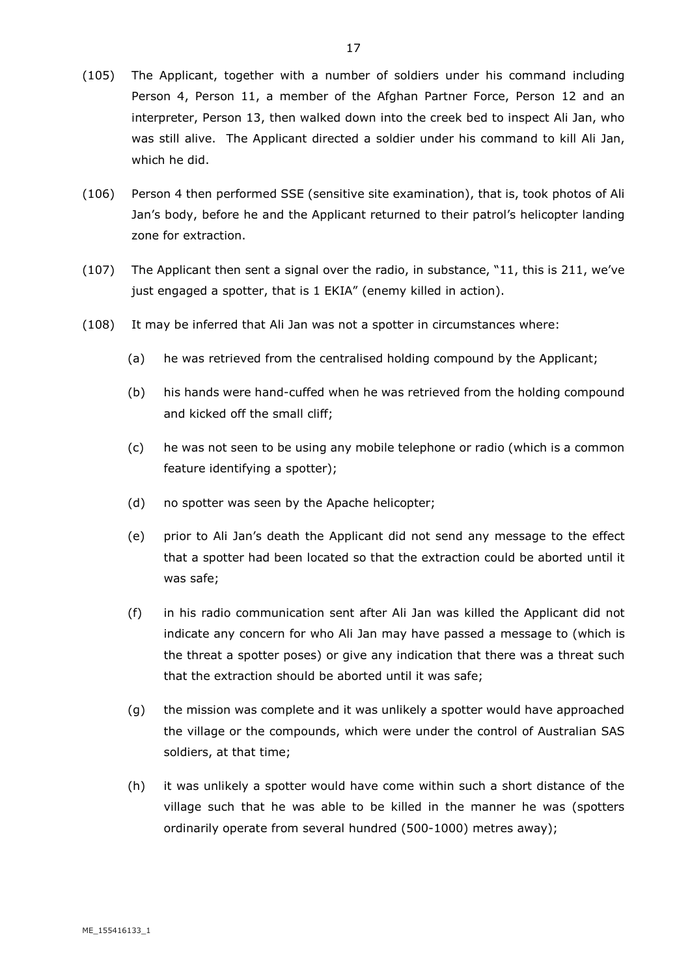- (105) The Applicant, together with a number of soldiers under his command including Person 4, Person 11, a member of the Afghan Partner Force, Person 12 and an interpreter, Person 13, then walked down into the creek bed to inspect Ali Jan, who was still alive. The Applicant directed a soldier under his command to kill Ali Jan, which he did.
- (106) Person 4 then performed SSE (sensitive site examination), that is, took photos of Ali Jan's body, before he and the Applicant returned to their patrol's helicopter landing zone for extraction.
- (107) The Applicant then sent a signal over the radio, in substance, "11, this is 211, we've just engaged a spotter, that is 1 EKIA" (enemy killed in action).
- (108) It may be inferred that Ali Jan was not a spotter in circumstances where:
	- (a) he was retrieved from the centralised holding compound by the Applicant;
	- (b) his hands were hand-cuffed when he was retrieved from the holding compound and kicked off the small cliff;
	- (c) he was not seen to be using any mobile telephone or radio (which is a common feature identifying a spotter);
	- (d) no spotter was seen by the Apache helicopter;
	- (e) prior to Ali Jan's death the Applicant did not send any message to the effect that a spotter had been located so that the extraction could be aborted until it was safe;
	- (f) in his radio communication sent after Ali Jan was killed the Applicant did not indicate any concern for who Ali Jan may have passed a message to (which is the threat a spotter poses) or give any indication that there was a threat such that the extraction should be aborted until it was safe;
	- (g) the mission was complete and it was unlikely a spotter would have approached the village or the compounds, which were under the control of Australian SAS soldiers, at that time;
	- (h) it was unlikely a spotter would have come within such a short distance of the village such that he was able to be killed in the manner he was (spotters ordinarily operate from several hundred (500-1000) metres away);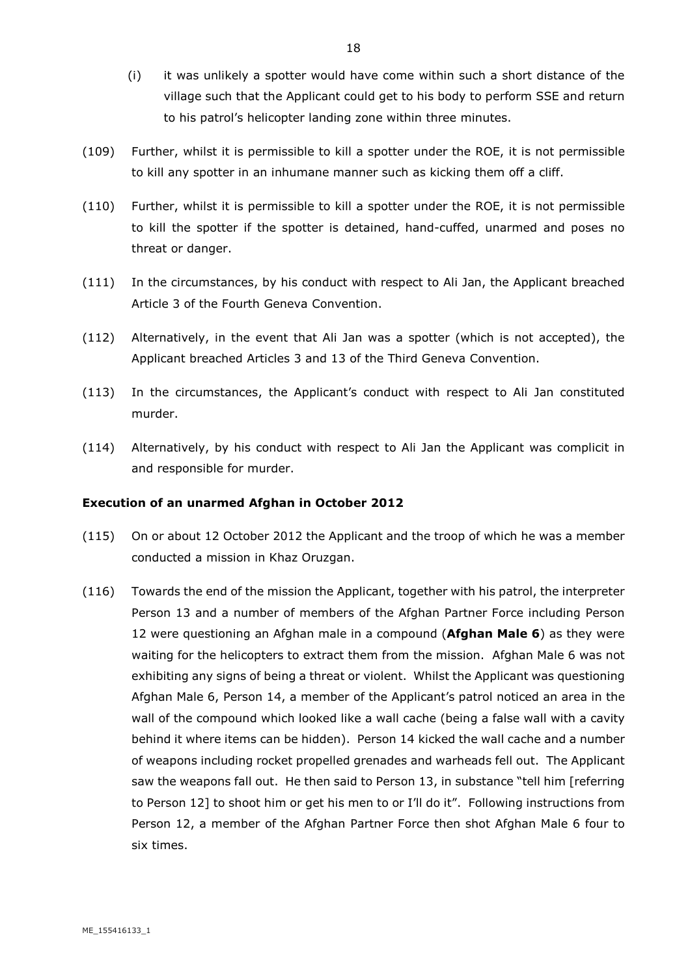- (i) it was unlikely a spotter would have come within such a short distance of the village such that the Applicant could get to his body to perform SSE and return to his patrol's helicopter landing zone within three minutes.
- (109) Further, whilst it is permissible to kill a spotter under the ROE, it is not permissible to kill any spotter in an inhumane manner such as kicking them off a cliff.
- (110) Further, whilst it is permissible to kill a spotter under the ROE, it is not permissible to kill the spotter if the spotter is detained, hand-cuffed, unarmed and poses no threat or danger.
- (111) In the circumstances, by his conduct with respect to Ali Jan, the Applicant breached Article 3 of the Fourth Geneva Convention.
- (112) Alternatively, in the event that Ali Jan was a spotter (which is not accepted), the Applicant breached Articles 3 and 13 of the Third Geneva Convention.
- (113) In the circumstances, the Applicant's conduct with respect to Ali Jan constituted murder.
- (114) Alternatively, by his conduct with respect to Ali Jan the Applicant was complicit in and responsible for murder.

#### **Execution of an unarmed Afghan in October 2012**

- (115) On or about 12 October 2012 the Applicant and the troop of which he was a member conducted a mission in Khaz Oruzgan.
- (116) Towards the end of the mission the Applicant, together with his patrol, the interpreter Person 13 and a number of members of the Afghan Partner Force including Person 12 were questioning an Afghan male in a compound (**Afghan Male 6**) as they were waiting for the helicopters to extract them from the mission. Afghan Male 6 was not exhibiting any signs of being a threat or violent. Whilst the Applicant was questioning Afghan Male 6, Person 14, a member of the Applicant's patrol noticed an area in the wall of the compound which looked like a wall cache (being a false wall with a cavity behind it where items can be hidden). Person 14 kicked the wall cache and a number of weapons including rocket propelled grenades and warheads fell out. The Applicant saw the weapons fall out. He then said to Person 13, in substance "tell him [referring to Person 12] to shoot him or get his men to or I'll do it". Following instructions from Person 12, a member of the Afghan Partner Force then shot Afghan Male 6 four to six times.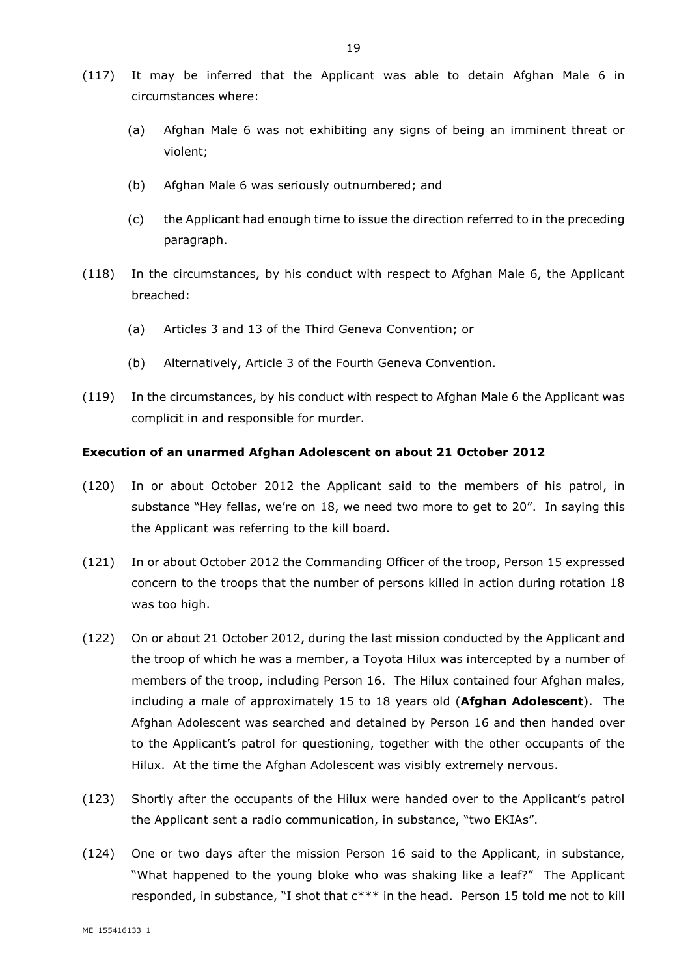- (117) It may be inferred that the Applicant was able to detain Afghan Male 6 in circumstances where:
	- (a) Afghan Male 6 was not exhibiting any signs of being an imminent threat or violent;
	- (b) Afghan Male 6 was seriously outnumbered; and
	- (c) the Applicant had enough time to issue the direction referred to in the preceding paragraph.
- (118) In the circumstances, by his conduct with respect to Afghan Male 6, the Applicant breached:
	- (a) Articles 3 and 13 of the Third Geneva Convention; or
	- (b) Alternatively, Article 3 of the Fourth Geneva Convention.
- (119) In the circumstances, by his conduct with respect to Afghan Male 6 the Applicant was complicit in and responsible for murder.

#### **Execution of an unarmed Afghan Adolescent on about 21 October 2012**

- (120) In or about October 2012 the Applicant said to the members of his patrol, in substance "Hey fellas, we're on 18, we need two more to get to 20". In saying this the Applicant was referring to the kill board.
- (121) In or about October 2012 the Commanding Officer of the troop, Person 15 expressed concern to the troops that the number of persons killed in action during rotation 18 was too high.
- (122) On or about 21 October 2012, during the last mission conducted by the Applicant and the troop of which he was a member, a Toyota Hilux was intercepted by a number of members of the troop, including Person 16. The Hilux contained four Afghan males, including a male of approximately 15 to 18 years old (**Afghan Adolescent**). The Afghan Adolescent was searched and detained by Person 16 and then handed over to the Applicant's patrol for questioning, together with the other occupants of the Hilux. At the time the Afghan Adolescent was visibly extremely nervous.
- (123) Shortly after the occupants of the Hilux were handed over to the Applicant's patrol the Applicant sent a radio communication, in substance, "two EKIAs".
- (124) One or two days after the mission Person 16 said to the Applicant, in substance, "What happened to the young bloke who was shaking like a leaf?" The Applicant responded, in substance, "I shot that  $c***$  in the head. Person 15 told me not to kill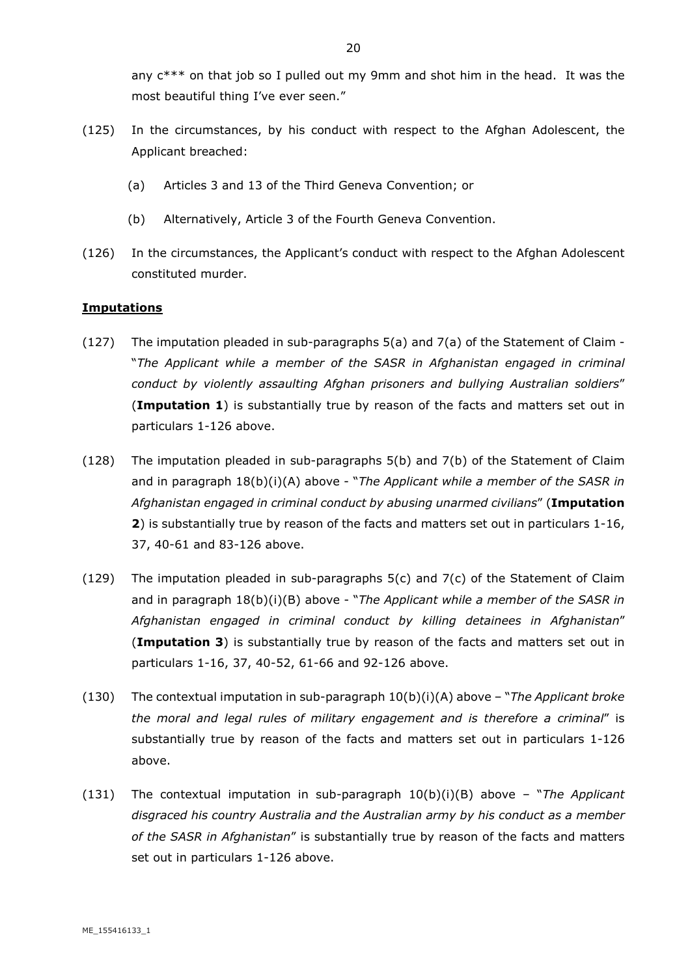- (125) In the circumstances, by his conduct with respect to the Afghan Adolescent, the Applicant breached:
	- (a) Articles 3 and 13 of the Third Geneva Convention; or
	- (b) Alternatively, Article 3 of the Fourth Geneva Convention.
- (126) In the circumstances, the Applicant's conduct with respect to the Afghan Adolescent constituted murder.

### **Imputations**

- $(127)$  The imputation pleaded in sub-paragraphs 5(a) and 7(a) of the Statement of Claim -"*The Applicant while a member of the SASR in Afghanistan engaged in criminal conduct by violently assaulting Afghan prisoners and bullying Australian soldiers*" (**Imputation 1**) is substantially true by reason of the facts and matters set out in particulars 1-126 above.
- (128) The imputation pleaded in sub-paragraphs 5(b) and 7(b) of the Statement of Claim and in paragraph 18(b)(i)(A) above - "*The Applicant while a member of the SASR in Afghanistan engaged in criminal conduct by abusing unarmed civilians*" (**Imputation 2**) is substantially true by reason of the facts and matters set out in particulars 1-16, 37, 40-61 and 83-126 above.
- (129) The imputation pleaded in sub-paragraphs 5(c) and 7(c) of the Statement of Claim and in paragraph 18(b)(i)(B) above - "*The Applicant while a member of the SASR in Afghanistan engaged in criminal conduct by killing detainees in Afghanistan*" (**Imputation 3**) is substantially true by reason of the facts and matters set out in particulars 1-16, 37, 40-52, 61-66 and 92-126 above.
- (130) The contextual imputation in sub-paragraph 10(b)(i)(A) above "*The Applicant broke the moral and legal rules of military engagement and is therefore a criminal*" is substantially true by reason of the facts and matters set out in particulars 1-126 above.
- (131) The contextual imputation in sub-paragraph 10(b)(i)(B) above "*The Applicant disgraced his country Australia and the Australian army by his conduct as a member of the SASR in Afghanistan*" is substantially true by reason of the facts and matters set out in particulars 1-126 above.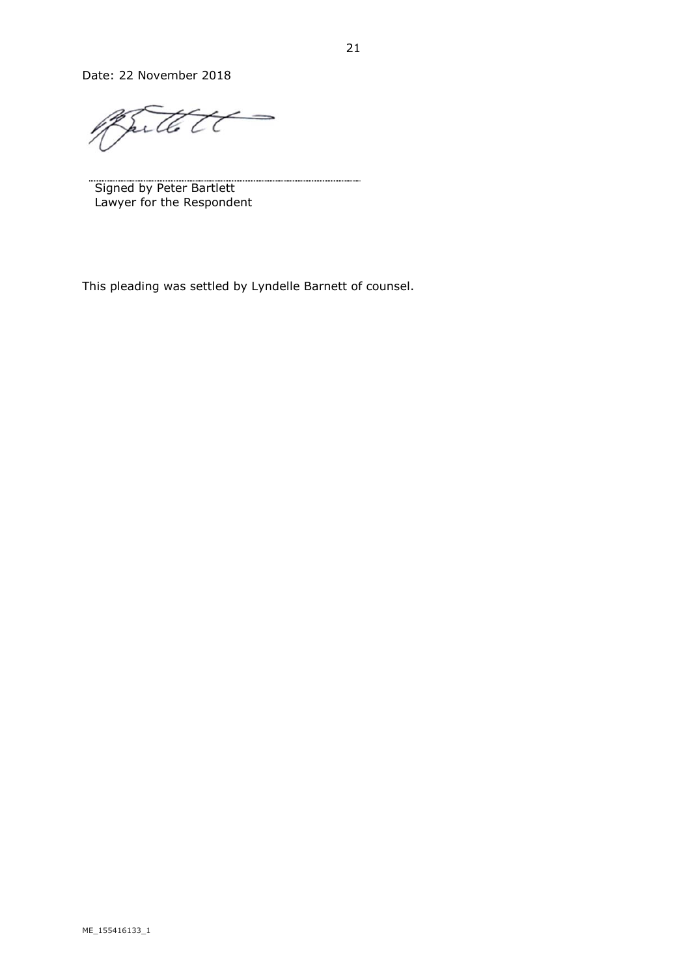Date: 22 November 2018

> Sutto t C

Signed by Peter Bartlett Lawyer for the Respondent

This pleading was settled by Lyndelle Barnett of counsel.